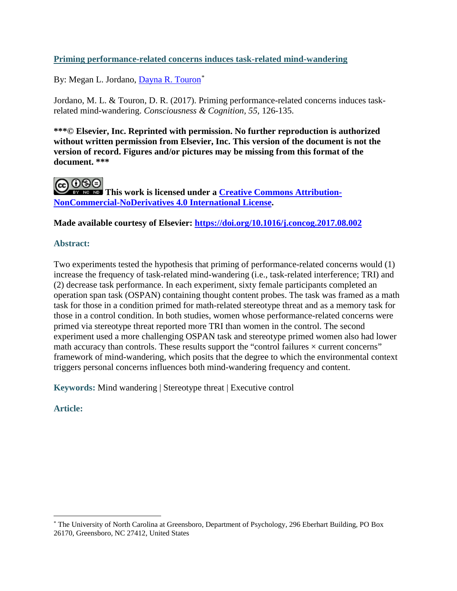## **Priming performance-related concerns induces task-related mind-wandering**

By: Megan L. Jordano, [Dayna R. Touron](http://libres.uncg.edu/ir/uncg/clist.aspx?id=262)<sup>[\\*](#page-0-0)</sup>

Jordano, M. L. & Touron, D. R. (2017). Priming performance-related concerns induces taskrelated mind-wandering. *Consciousness & Cognition, 55*, 126-135.

**\*\*\*© Elsevier, Inc. Reprinted with permission. No further reproduction is authorized without written permission from Elsevier, Inc. This version of the document is not the version of record. Figures and/or pictures may be missing from this format of the document. \*\*\***

# (ഒ ⊙®©

**THE NO INCORDED** This work is licensed under a **Creative Commons Attribution-[NonCommercial-NoDerivatives 4.0 International License.](https://creativecommons.org/licenses/by-nc-nd/4.0/)**

**Made available courtesy of Elsevier: <https://doi.org/10.1016/j.concog.2017.08.002>**

## **Abstract:**

Two experiments tested the hypothesis that priming of performance-related concerns would (1) increase the frequency of task-related mind-wandering (i.e., task-related interference; TRI) and (2) decrease task performance. In each experiment, sixty female participants completed an operation span task (OSPAN) containing thought content probes. The task was framed as a math task for those in a condition primed for math-related stereotype threat and as a memory task for those in a control condition. In both studies, women whose performance-related concerns were primed via stereotype threat reported more TRI than women in the control. The second experiment used a more challenging OSPAN task and stereotype primed women also had lower math accuracy than controls. These results support the "control failures  $\times$  current concerns" framework of mind-wandering, which posits that the degree to which the environmental context triggers personal concerns influences both mind-wandering frequency and content.

**Keywords:** Mind wandering | Stereotype threat | Executive control

**Article:** 

<span id="page-0-0"></span> <sup>\*</sup> The University of North Carolina at Greensboro, Department of Psychology, 296 Eberhart Building, PO Box 26170, Greensboro, NC 27412, United States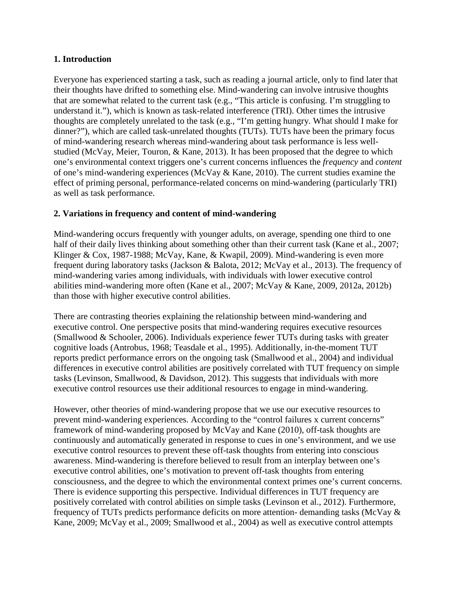## **1. Introduction**

Everyone has experienced starting a task, such as reading a journal article, only to find later that their thoughts have drifted to something else. Mind-wandering can involve intrusive thoughts that are somewhat related to the current task (e.g., "This article is confusing. I'm struggling to understand it."), which is known as task-related interference (TRI). Other times the intrusive thoughts are completely unrelated to the task (e.g., "I'm getting hungry. What should I make for dinner?"), which are called task-unrelated thoughts (TUTs). TUTs have been the primary focus of mind-wandering research whereas mind-wandering about task performance is less wellstudied (McVay, Meier, Touron, & Kane, 2013). It has been proposed that the degree to which one's environmental context triggers one's current concerns influences the *frequency* and *content* of one's mind-wandering experiences (McVay & Kane, 2010). The current studies examine the effect of priming personal, performance-related concerns on mind-wandering (particularly TRI) as well as task performance.

## **2. Variations in frequency and content of mind-wandering**

Mind-wandering occurs frequently with younger adults, on average, spending one third to one half of their daily lives thinking about something other than their current task (Kane et al., 2007; Klinger & Cox, 1987-1988; McVay, Kane, & Kwapil, 2009). Mind-wandering is even more frequent during laboratory tasks (Jackson & Balota, 2012; McVay et al., 2013). The frequency of mind-wandering varies among individuals, with individuals with lower executive control abilities mind-wandering more often (Kane et al., 2007; McVay & Kane, 2009, 2012a, 2012b) than those with higher executive control abilities.

There are contrasting theories explaining the relationship between mind-wandering and executive control. One perspective posits that mind-wandering requires executive resources (Smallwood & Schooler, 2006). Individuals experience fewer TUTs during tasks with greater cognitive loads (Antrobus, 1968; Teasdale et al., 1995). Additionally, in-the-moment TUT reports predict performance errors on the ongoing task (Smallwood et al., 2004) and individual differences in executive control abilities are positively correlated with TUT frequency on simple tasks (Levinson, Smallwood, & Davidson, 2012). This suggests that individuals with more executive control resources use their additional resources to engage in mind-wandering.

However, other theories of mind-wandering propose that we use our executive resources to prevent mind-wandering experiences. According to the "control failures x current concerns" framework of mind-wandering proposed by McVay and Kane (2010), off-task thoughts are continuously and automatically generated in response to cues in one's environment, and we use executive control resources to prevent these off-task thoughts from entering into conscious awareness. Mind-wandering is therefore believed to result from an interplay between one's executive control abilities, one's motivation to prevent off-task thoughts from entering consciousness, and the degree to which the environmental context primes one's current concerns. There is evidence supporting this perspective. Individual differences in TUT frequency are positively correlated with control abilities on simple tasks (Levinson et al., 2012). Furthermore, frequency of TUTs predicts performance deficits on more attention- demanding tasks (McVay & Kane, 2009; McVay et al., 2009; Smallwood et al., 2004) as well as executive control attempts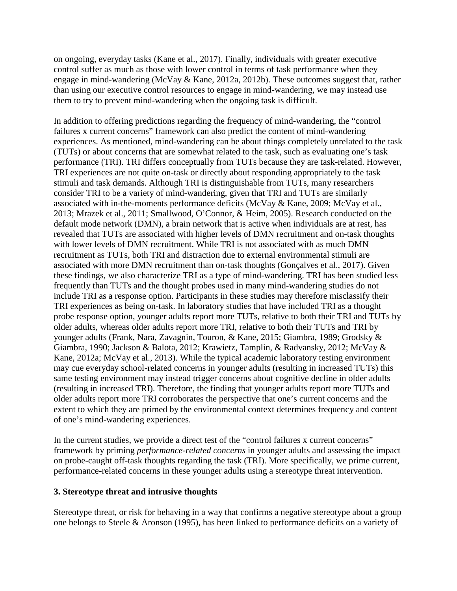on ongoing, everyday tasks (Kane et al., 2017). Finally, individuals with greater executive control suffer as much as those with lower control in terms of task performance when they engage in mind-wandering (McVay & Kane, 2012a, 2012b). These outcomes suggest that, rather than using our executive control resources to engage in mind-wandering, we may instead use them to try to prevent mind-wandering when the ongoing task is difficult.

In addition to offering predictions regarding the frequency of mind-wandering, the "control failures x current concerns" framework can also predict the content of mind-wandering experiences. As mentioned, mind-wandering can be about things completely unrelated to the task (TUTs) or about concerns that are somewhat related to the task, such as evaluating one's task performance (TRI). TRI differs conceptually from TUTs because they are task-related. However, TRI experiences are not quite on-task or directly about responding appropriately to the task stimuli and task demands. Although TRI is distinguishable from TUTs, many researchers consider TRI to be a variety of mind-wandering, given that TRI and TUTs are similarly associated with in-the-moments performance deficits (McVay & Kane, 2009; McVay et al., 2013; Mrazek et al., 2011; Smallwood, O'Connor, & Heim, 2005). Research conducted on the default mode network (DMN), a brain network that is active when individuals are at rest, has revealed that TUTs are associated with higher levels of DMN recruitment and on-task thoughts with lower levels of DMN recruitment. While TRI is not associated with as much DMN recruitment as TUTs, both TRI and distraction due to external environmental stimuli are associated with more DMN recruitment than on-task thoughts (Gonçalves et al., 2017). Given these findings, we also characterize TRI as a type of mind-wandering. TRI has been studied less frequently than TUTs and the thought probes used in many mind-wandering studies do not include TRI as a response option. Participants in these studies may therefore misclassify their TRI experiences as being on-task. In laboratory studies that have included TRI as a thought probe response option, younger adults report more TUTs, relative to both their TRI and TUTs by older adults, whereas older adults report more TRI, relative to both their TUTs and TRI by younger adults (Frank, Nara, Zavagnin, Touron, & Kane, 2015; Giambra, 1989; Grodsky & Giambra, 1990; Jackson & Balota, 2012; Krawietz, Tamplin, & Radvansky, 2012; McVay & Kane, 2012a; McVay et al., 2013). While the typical academic laboratory testing environment may cue everyday school-related concerns in younger adults (resulting in increased TUTs) this same testing environment may instead trigger concerns about cognitive decline in older adults (resulting in increased TRI). Therefore, the finding that younger adults report more TUTs and older adults report more TRI corroborates the perspective that one's current concerns and the extent to which they are primed by the environmental context determines frequency and content of one's mind-wandering experiences.

In the current studies, we provide a direct test of the "control failures x current concerns" framework by priming *performance-related concerns* in younger adults and assessing the impact on probe-caught off-task thoughts regarding the task (TRI). More specifically, we prime current, performance-related concerns in these younger adults using a stereotype threat intervention.

#### **3. Stereotype threat and intrusive thoughts**

Stereotype threat, or risk for behaving in a way that confirms a negative stereotype about a group one belongs to Steele & Aronson (1995), has been linked to performance deficits on a variety of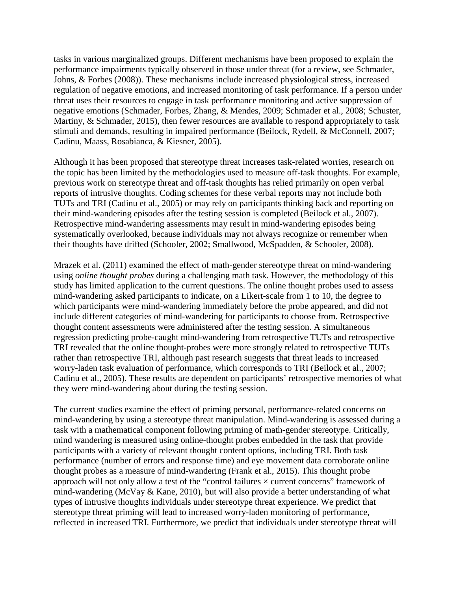tasks in various marginalized groups. Different mechanisms have been proposed to explain the performance impairments typically observed in those under threat (for a review, see Schmader, Johns, & Forbes (2008)). These mechanisms include increased physiological stress, increased regulation of negative emotions, and increased monitoring of task performance. If a person under threat uses their resources to engage in task performance monitoring and active suppression of negative emotions (Schmader, Forbes, Zhang, & Mendes, 2009; Schmader et al., 2008; Schuster, Martiny, & Schmader, 2015), then fewer resources are available to respond appropriately to task stimuli and demands, resulting in impaired performance (Beilock, Rydell, & McConnell, 2007; Cadinu, Maass, Rosabianca, & Kiesner, 2005).

Although it has been proposed that stereotype threat increases task-related worries, research on the topic has been limited by the methodologies used to measure off-task thoughts. For example, previous work on stereotype threat and off-task thoughts has relied primarily on open verbal reports of intrusive thoughts. Coding schemes for these verbal reports may not include both TUTs and TRI (Cadinu et al., 2005) or may rely on participants thinking back and reporting on their mind-wandering episodes after the testing session is completed (Beilock et al., 2007). Retrospective mind-wandering assessments may result in mind-wandering episodes being systematically overlooked, because individuals may not always recognize or remember when their thoughts have drifted (Schooler, 2002; Smallwood, McSpadden, & Schooler, 2008).

Mrazek et al. (2011) examined the effect of math-gender stereotype threat on mind-wandering using *online thought probes* during a challenging math task. However, the methodology of this study has limited application to the current questions. The online thought probes used to assess mind-wandering asked participants to indicate, on a Likert-scale from 1 to 10, the degree to which participants were mind-wandering immediately before the probe appeared, and did not include different categories of mind-wandering for participants to choose from. Retrospective thought content assessments were administered after the testing session. A simultaneous regression predicting probe-caught mind-wandering from retrospective TUTs and retrospective TRI revealed that the online thought-probes were more strongly related to retrospective TUTs rather than retrospective TRI, although past research suggests that threat leads to increased worry-laden task evaluation of performance, which corresponds to TRI (Beilock et al., 2007; Cadinu et al., 2005). These results are dependent on participants' retrospective memories of what they were mind-wandering about during the testing session.

The current studies examine the effect of priming personal, performance-related concerns on mind-wandering by using a stereotype threat manipulation. Mind-wandering is assessed during a task with a mathematical component following priming of math-gender stereotype. Critically, mind wandering is measured using online-thought probes embedded in the task that provide participants with a variety of relevant thought content options, including TRI. Both task performance (number of errors and response time) and eye movement data corroborate online thought probes as a measure of mind-wandering (Frank et al., 2015). This thought probe approach will not only allow a test of the "control failures  $\times$  current concerns" framework of mind-wandering (McVay & Kane, 2010), but will also provide a better understanding of what types of intrusive thoughts individuals under stereotype threat experience. We predict that stereotype threat priming will lead to increased worry-laden monitoring of performance, reflected in increased TRI. Furthermore, we predict that individuals under stereotype threat will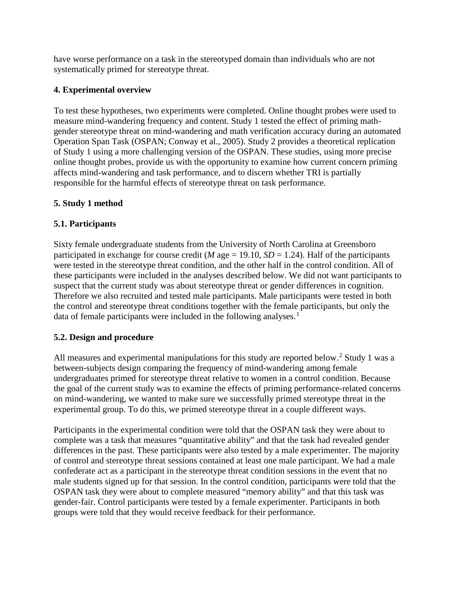have worse performance on a task in the stereotyped domain than individuals who are not systematically primed for stereotype threat.

## **4. Experimental overview**

To test these hypotheses, two experiments were completed. Online thought probes were used to measure mind-wandering frequency and content. Study 1 tested the effect of priming mathgender stereotype threat on mind-wandering and math verification accuracy during an automated Operation Span Task (OSPAN; Conway et al., 2005). Study 2 provides a theoretical replication of Study 1 using a more challenging version of the OSPAN. These studies, using more precise online thought probes, provide us with the opportunity to examine how current concern priming affects mind-wandering and task performance, and to discern whether TRI is partially responsible for the harmful effects of stereotype threat on task performance.

## **5. Study 1 method**

## **5.1. Participants**

Sixty female undergraduate students from the University of North Carolina at Greensboro participated in exchange for course credit (*M* age = 19.10, *SD* = 1.24). Half of the participants were tested in the stereotype threat condition, and the other half in the control condition. All of these participants were included in the analyses described below. We did not want participants to suspect that the current study was about stereotype threat or gender differences in cognition. Therefore we also recruited and tested male participants. Male participants were tested in both the control and stereotype threat conditions together with the female participants, but only the data of female participants were included in the following analyses.<sup>[1](#page-16-0)</sup>

# **5.2. Design and procedure**

All measures and experimental manipulations for this study are reported below.<sup>[2](#page-16-1)</sup> Study 1 was a between-subjects design comparing the frequency of mind-wandering among female undergraduates primed for stereotype threat relative to women in a control condition. Because the goal of the current study was to examine the effects of priming performance-related concerns on mind-wandering, we wanted to make sure we successfully primed stereotype threat in the experimental group. To do this, we primed stereotype threat in a couple different ways.

Participants in the experimental condition were told that the OSPAN task they were about to complete was a task that measures "quantitative ability" and that the task had revealed gender differences in the past. These participants were also tested by a male experimenter. The majority of control and stereotype threat sessions contained at least one male participant. We had a male confederate act as a participant in the stereotype threat condition sessions in the event that no male students signed up for that session. In the control condition, participants were told that the OSPAN task they were about to complete measured "memory ability" and that this task was gender-fair. Control participants were tested by a female experimenter. Participants in both groups were told that they would receive feedback for their performance.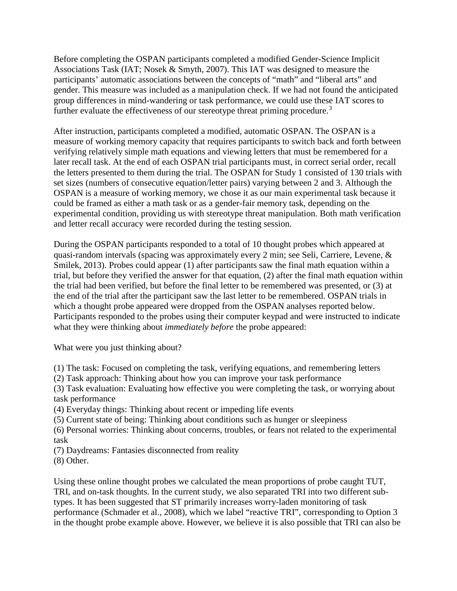Before completing the OSPAN participants completed a modified Gender-Science Implicit Associations Task (IAT; Nosek & Smyth, 2007). This IAT was designed to measure the participants' automatic associations between the concepts of "math" and "liberal arts" and gender. This measure was included as a manipulation check. If we had not found the anticipated group differences in mind-wandering or task performance, we could use these IAT scores to further evaluate the effectiveness of our stereotype threat priming procedure.<sup>[3](#page-17-0)</sup>

After instruction, participants completed a modified, automatic OSPAN. The OSPAN is a measure of working memory capacity that requires participants to switch back and forth between verifying relatively simple math equations and viewing letters that must be remembered for a later recall task. At the end of each OSPAN trial participants must, in correct serial order, recall the letters presented to them during the trial. The OSPAN for Study 1 consisted of 130 trials with set sizes (numbers of consecutive equation/letter pairs) varying between 2 and 3. Although the OSPAN is a measure of working memory, we chose it as our main experimental task because it could be framed as either a math task or as a gender-fair memory task, depending on the experimental condition, providing us with stereotype threat manipulation. Both math verification and letter recall accuracy were recorded during the testing session.

During the OSPAN participants responded to a total of 10 thought probes which appeared at quasi-random intervals (spacing was approximately every 2 min; see [Seli, Carriere, Levene, &](https://www.sciencedirect.com/science/article/pii/S1053810017301824#b0170)  [Smilek, 2013\)](https://www.sciencedirect.com/science/article/pii/S1053810017301824#b0170). Probes could appear (1) after participants saw the final math equation within a trial, but before they verified the answer for that equation, (2) after the final math equation within the trial had been verified, but before the final letter to be remembered was presented, or (3) at the end of the trial after the participant saw the last letter to be remembered. OSPAN trials in which a thought probe appeared were dropped from the OSPAN analyses reported below. Participants responded to the probes using their computer keypad and were instructed to indicate what they were thinking about *immediately before* the probe appeared:

What were you just thinking about?

- (1) The task: Focused on completing the task, verifying equations, and remembering letters
- (2) Task approach: Thinking about how you can improve your task performance

(3) Task evaluation: Evaluating how effective you were completing the task, or worrying about task performance

(4) Everyday things: Thinking about recent or impeding life events

(5) Current state of being: Thinking about conditions such as hunger or sleepiness

(6) Personal worries: Thinking about concerns, troubles, or fears not related to the experimental task

- (7) Daydreams: Fantasies disconnected from reality
- (8) Other.

Using these online thought probes we calculated the mean proportions of probe caught TUT, TRI, and on-task thoughts. In the current study, we also separated TRI into two different subtypes. It has been suggested that ST primarily increases worry-laden monitoring of task performance (Schmader et al., 2008), which we label "reactive TRI", corresponding to Option 3 in the thought probe example above. However, we believe it is also possible that TRI can also be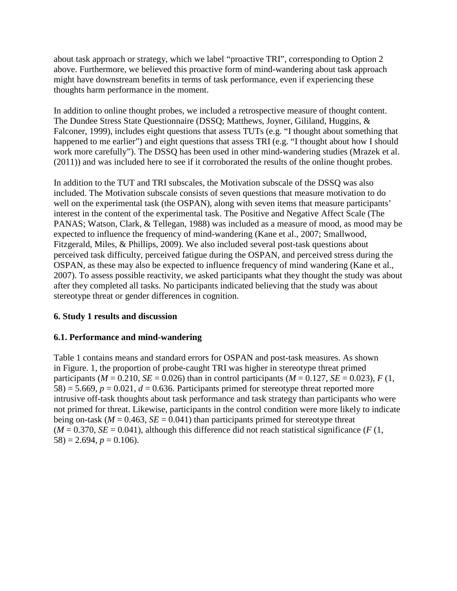about task approach or strategy, which we label "proactive TRI", corresponding to Option 2 above. Furthermore, we believed this proactive form of mind-wandering about task approach might have downstream benefits in terms of task performance, even if experiencing these thoughts harm performance in the moment.

In addition to online thought probes, we included a retrospective measure of thought content. The Dundee Stress State Questionnaire (DSSQ; Matthews, Joyner, Gililand, Huggins, & Falconer, 1999), includes eight questions that assess TUTs (e.g. "I thought about something that happened to me earlier") and eight questions that assess TRI (e.g. "I thought about how I should work more carefully"). The DSSQ has been used in other mind-wandering studies (Mrazek et al. (2011)) and was included here to see if it corroborated the results of the online thought probes.

In addition to the TUT and TRI subscales, the Motivation subscale of the DSSQ was also included. The Motivation subscale consists of seven questions that measure motivation to do well on the experimental task (the OSPAN), along with seven items that measure participants' interest in the content of the experimental task. The Positive and Negative Affect Scale (The PANAS; Watson, Clark, & Tellegan, 1988) was included as a measure of mood, as mood may be expected to influence the frequency of mind-wandering (Kane et al., 2007; Smallwood, Fitzgerald, Miles, & Phillips, 2009). We also included several post-task questions about perceived task difficulty, perceived fatigue during the OSPAN, and perceived stress during the OSPAN, as these may also be expected to influence frequency of mind wandering (Kane et al., 2007). To assess possible reactivity, we asked participants what they thought the study was about after they completed all tasks. No participants indicated believing that the study was about stereotype threat or gender differences in cognition.

## **6. Study 1 results and discussion**

#### **6.1. Performance and mind-wandering**

Table 1 contains means and standard errors for OSPAN and post-task measures. As shown in Figure. 1, the proportion of probe-caught TRI was higher in stereotype threat primed participants ( $M = 0.210$ ,  $SE = 0.026$ ) than in control participants ( $M = 0.127$ ,  $SE = 0.023$ ),  $F(1, 0.025)$  $58$ ) = 5.669,  $p = 0.021$ ,  $d = 0.636$ . Participants primed for stereotype threat reported more intrusive off-task thoughts about task performance and task strategy than participants who were not primed for threat. Likewise, participants in the control condition were more likely to indicate being on-task ( $M = 0.463$ ,  $SE = 0.041$ ) than participants primed for stereotype threat  $(M = 0.370, SE = 0.041)$ , although this difference did not reach statistical significance (*F* (1,  $58$ ) = 2.694,  $p = 0.106$ ).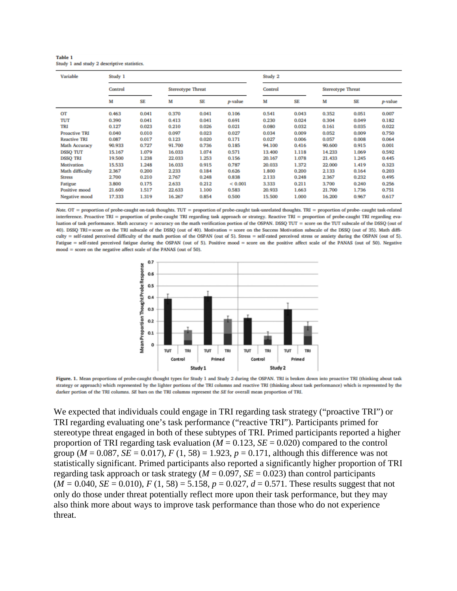| <b>Table 1</b> |  |  |                                             |  |
|----------------|--|--|---------------------------------------------|--|
|                |  |  | Study 1 and study 2 descriptive statistics. |  |

| Variable             | Study 1 |       |                          |       |                |         | Study 2 |                          |       |         |  |
|----------------------|---------|-------|--------------------------|-------|----------------|---------|---------|--------------------------|-------|---------|--|
|                      | Control |       | <b>Stereotype Threat</b> |       |                | Control |         | <b>Stereotype Threat</b> |       |         |  |
|                      | M       | SE    | М                        | SE    | p-value        | M       | SE      | М                        | SE    | p-value |  |
| OТ                   | 0.463   | 0.041 | 0.370                    | 0.041 | 0.106          | 0.541   | 0.043   | 0.352                    | 0.051 | 0.007   |  |
| TUT                  | 0.390   | 0.041 | 0.413                    | 0.041 | 0.691          | 0.230   | 0.024   | 0.304                    | 0.049 | 0.182   |  |
| TRI                  | 0.127   | 0.023 | 0.210                    | 0.026 | 0.021          | 0.080   | 0.032   | 0.161                    | 0.035 | 0.022   |  |
| <b>Proactive TRI</b> | 0.040   | 0.010 | 0.097                    | 0.023 | 0.027          | 0.034   | 0.009   | 0.052                    | 0.009 | 0.750   |  |
| <b>Reactive TRI</b>  | 0.087   | 0.017 | 0.123                    | 0.020 | 0.171          | 0.027   | 0.006   | 0.057                    | 0.008 | 0.064   |  |
| <b>Math Accuracy</b> | 90.933  | 0.727 | 91.700                   | 0.736 | 0.185          | 94.100  | 0.416   | 90.600                   | 0.915 | 0.001   |  |
| <b>DSSO TUT</b>      | 15.167  | 1.079 | 16.033                   | 1.074 | 0.571          | 13.400  | 1.118   | 14.233                   | 1.069 | 0.592   |  |
| <b>DSSQ TRI</b>      | 19.500  | 1.238 | 22.033                   | 1.253 | 0.156          | 20.167  | 1.078   | 21.433                   | 1.245 | 0.445   |  |
| <b>Motivation</b>    | 15.533  | 1.248 | 16.033                   | 0.915 | 0.787          | 20.033  | 1.372   | 22.000                   | 1.419 | 0.323   |  |
| Math difficulty      | 2.367   | 0.200 | 2.233                    | 0.184 | 0.626          | 1.800   | 0.200   | 2.133                    | 0.164 | 0.203   |  |
| <b>Stress</b>        | 2.700   | 0.210 | 2.767                    | 0.248 | 0.838          | 2.133   | 0.248   | 2.367                    | 0.232 | 0.495   |  |
| <b>Fatigue</b>       | 3.800   | 0.175 | 2.633                    | 0.212 | ${}_{< 0.001}$ | 3.333   | 0.211   | 3.700                    | 0.240 | 0.256   |  |
| Positive mood        | 21.600  | 1.517 | 22.633                   | 1.100 | 0.583          | 20.933  | 1.663   | 21.700                   | 1.736 | 0.751   |  |
| Negative mood        | 17.333  | 1.319 | 16.267                   | 0.854 | 0.500          | 15.500  | 1.000   | 16.200                   | 0.967 | 0.617   |  |

Note. OT = proportion of probe-caught on-task thoughts. TUT = proportion of probe-caught task-unrelated thoughts. TRI = proportion of probe- caught task-related interference. Proactive TRI = proportion of probe-caught TRI regarding task approach or strategy. Reactive TRI = proportion of probe-caught TRI regarding evaluation of task performance. Math accuracy = accuracy on the math verification portion of the OSPAN. DSSQ TUT = score on the TUT subscale of the DSSQ (out of 40). DSSQ TRI=score on the TRI subscale of the DSSQ (out of 40). Motivation = score on the Success Motivation subscale of the DSSQ (out of 35). Math difficulty = self-rated perceived difficulty of the math portion of the OSPAN (out of 5). Stress = self-rated perceived stress or anxiety during the OSPAN (out of 5). Fatigue = self-rated perceived fatigue during the OSPAN (out of 5). Positive mood = score on the positive affect scale of the PANAS (out of 50). Negative mood = score on the negative affect scale of the PANAS (out of 50).



Figure. 1. Mean proportions of probe-caught thought types for Study 1 and Study 2 during the OSPAN. TRI is broken down into proactive TRI (thinking about task strategy or approach) which represented by the lighter portions of the TRI columns and reactive TRI (thinking about task performance) which is represented by the darker portion of the TRI columns. SE bars on the TRI columns represent the SE for overall mean proportion of TRI.

We expected that individuals could engage in TRI regarding task strategy ("proactive TRI") or TRI regarding evaluating one's task performance ("reactive TRI"). Participants primed for stereotype threat engaged in both of these subtypes of TRI. Primed participants reported a higher proportion of TRI regarding task evaluation ( $M = 0.123$ ,  $SE = 0.020$ ) compared to the control group ( $M = 0.087$ ,  $SE = 0.017$ ),  $F(1, 58) = 1.923$ ,  $p = 0.171$ , although this difference was not statistically significant. Primed participants also reported a significantly higher proportion of TRI regarding task approach or task strategy ( $M = 0.097$ ,  $SE = 0.023$ ) than control participants  $(M = 0.040, SE = 0.010), F(1, 58) = 5.158, p = 0.027, d = 0.571$ . These results suggest that not only do those under threat potentially reflect more upon their task performance, but they may also think more about ways to improve task performance than those who do not experience threat.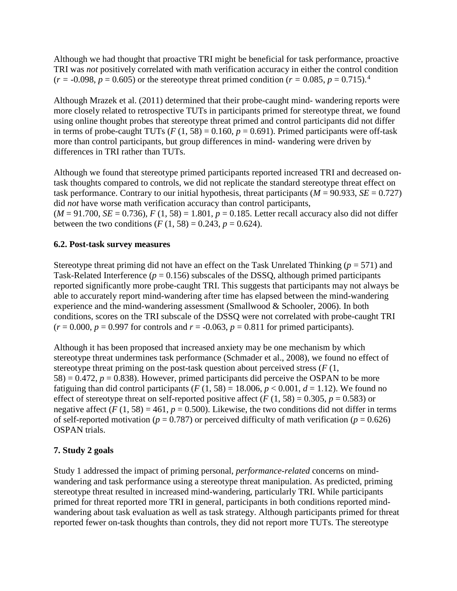Although we had thought that proactive TRI might be beneficial for task performance, proactive TRI was *not* positively correlated with math verification accuracy in either the control condition  $(r = -0.098, p = 0.605)$  or the stereotype threat primed condition  $(r = 0.085, p = 0.715)$ .<sup>[4](#page-17-1)</sup>

Although Mrazek et al. (2011) determined that their probe-caught mind- wandering reports were more closely related to retrospective TUTs in participants primed for stereotype threat, we found using online thought probes that stereotype threat primed and control participants did not differ in terms of probe-caught TUTs  $(F (1, 58) = 0.160, p = 0.691)$ . Primed participants were off-task more than control participants, but group differences in mind- wandering were driven by differences in TRI rather than TUTs.

Although we found that stereotype primed participants reported increased TRI and decreased ontask thoughts compared to controls, we did not replicate the standard stereotype threat effect on task performance. Contrary to our initial hypothesis, threat participants  $(M = 90.933, SE = 0.727)$ did *not* have worse math verification accuracy than control participants,

 $(M = 91.700, SE = 0.736), F(1, 58) = 1.801, p = 0.185$ . Letter recall accuracy also did not differ between the two conditions  $(F (1, 58) = 0.243, p = 0.624)$ .

#### **6.2. Post-task survey measures**

Stereotype threat priming did not have an effect on the Task Unrelated Thinking  $(p = 571)$  and Task-Related Interference ( $p = 0.156$ ) subscales of the DSSO, although primed participants reported significantly more probe-caught TRI. This suggests that participants may not always be able to accurately report mind-wandering after time has elapsed between the mind-wandering experience and the mind-wandering assessment (Smallwood & Schooler, 2006). In both conditions, scores on the TRI subscale of the DSSQ were not correlated with probe-caught TRI  $(r = 0.000, p = 0.997$  for controls and  $r = -0.063, p = 0.811$  for primed participants).

Although it has been proposed that increased anxiety may be one mechanism by which stereotype threat undermines task performance (Schmader et al., 2008), we found no effect of stereotype threat priming on the post-task question about perceived stress (*F* (1,  $58$ ) = 0.472,  $p = 0.838$ ). However, primed participants did perceive the OSPAN to be more fatiguing than did control participants  $(F(1, 58) = 18.006, p < 0.001, d = 1.12)$ . We found no effect of stereotype threat on self-reported positive affect ( $F(1, 58) = 0.305$ ,  $p = 0.583$ ) or negative affect  $(F(1, 58) = 461, p = 0.500)$ . Likewise, the two conditions did not differ in terms of self-reported motivation ( $p = 0.787$ ) or perceived difficulty of math verification ( $p = 0.626$ ) OSPAN trials.

#### **7. Study 2 goals**

Study 1 addressed the impact of priming personal, *performance-related* concerns on mindwandering and task performance using a stereotype threat manipulation. As predicted, priming stereotype threat resulted in increased mind-wandering, particularly TRI. While participants primed for threat reported more TRI in general, participants in both conditions reported mindwandering about task evaluation as well as task strategy. Although participants primed for threat reported fewer on-task thoughts than controls, they did not report more TUTs. The stereotype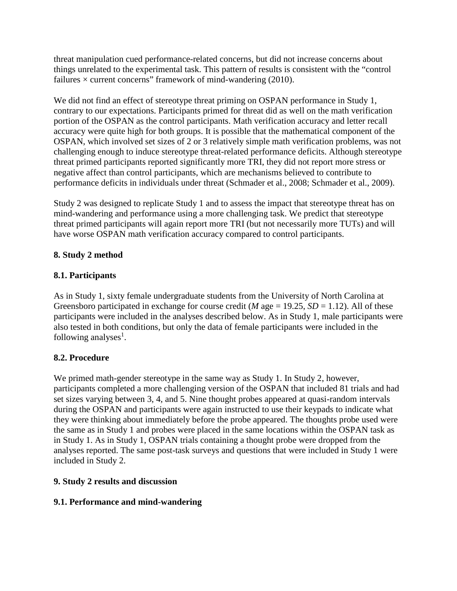threat manipulation cued performance-related concerns, but did not increase concerns about things unrelated to the experimental task. This pattern of results is consistent with the "control failures  $\times$  current concerns" framework of mind-wandering (2010).

We did not find an effect of stereotype threat priming on OSPAN performance in Study 1, contrary to our expectations. Participants primed for threat did as well on the math verification portion of the OSPAN as the control participants. Math verification accuracy and letter recall accuracy were quite high for both groups. It is possible that the mathematical component of the OSPAN, which involved set sizes of 2 or 3 relatively simple math verification problems, was not challenging enough to induce stereotype threat-related performance deficits. Although stereotype threat primed participants reported significantly more TRI, they did not report more stress or negative affect than control participants, which are mechanisms believed to contribute to performance deficits in individuals under threat (Schmader et al., 2008; Schmader et al., 2009).

Study 2 was designed to replicate Study 1 and to assess the impact that stereotype threat has on mind-wandering and performance using a more challenging task. We predict that stereotype threat primed participants will again report more TRI (but not necessarily more TUTs) and will have worse OSPAN math verification accuracy compared to control participants.

## **8. Study 2 method**

## **8.1. Participants**

As in Study 1, sixty female undergraduate students from the University of North Carolina at Greensboro participated in exchange for course credit (*M* age = 19.25, *SD* = 1.12). All of these participants were included in the analyses described below. As in Study 1, male participants were also tested in both conditions, but only the data of female participants were included in the following analyses<sup>1</sup>.

## **8.2. Procedure**

We primed math-gender stereotype in the same way as Study 1. In Study 2, however, participants completed a more challenging version of the OSPAN that included 81 trials and had set sizes varying between 3, 4, and 5. Nine thought probes appeared at quasi-random intervals during the OSPAN and participants were again instructed to use their keypads to indicate what they were thinking about immediately before the probe appeared. The thoughts probe used were the same as in Study 1 and probes were placed in the same locations within the OSPAN task as in Study 1. As in Study 1, OSPAN trials containing a thought probe were dropped from the analyses reported. The same post-task surveys and questions that were included in Study 1 were included in Study 2.

## **9. Study 2 results and discussion**

## **9.1. Performance and mind-wandering**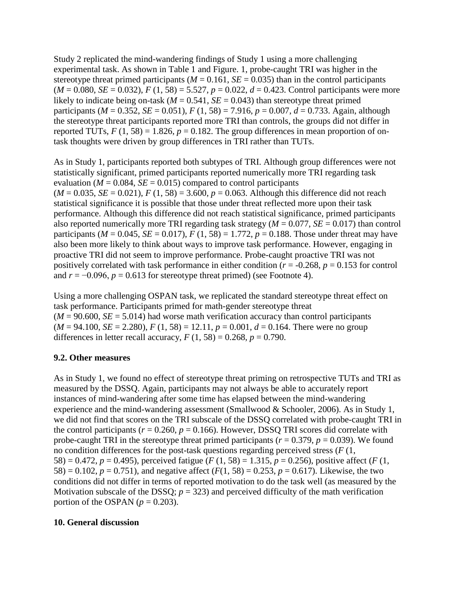Study 2 replicated the mind-wandering findings of Study 1 using a more challenging experimental task. As shown in Table 1 and Figure. 1, probe-caught TRI was higher in the stereotype threat primed participants ( $M = 0.161$ ,  $SE = 0.035$ ) than in the control participants  $(M = 0.080, SE = 0.032), F(1, 58) = 5.527, p = 0.022, d = 0.423$ . Control participants were more likely to indicate being on-task ( $M = 0.541$ ,  $SE = 0.043$ ) than stereotype threat primed participants ( $M = 0.352$ ,  $SE = 0.051$ ),  $F(1, 58) = 7.916$ ,  $p = 0.007$ ,  $d = 0.733$ . Again, although the stereotype threat participants reported more TRI than controls, the groups did not differ in reported TUTs,  $F(1, 58) = 1.826$ ,  $p = 0.182$ . The group differences in mean proportion of ontask thoughts were driven by group differences in TRI rather than TUTs.

As in Study 1, participants reported both subtypes of TRI. Although group differences were not statistically significant, primed participants reported numerically more TRI regarding task evaluation ( $M = 0.084$ ,  $SE = 0.015$ ) compared to control participants  $(M = 0.035, SE = 0.021), F(1, 58) = 3.600, p = 0.063$ . Although this difference did not reach statistical significance it is possible that those under threat reflected more upon their task performance. Although this difference did not reach statistical significance, primed participants also reported numerically more TRI regarding task strategy  $(M = 0.077, SE = 0.017)$  than control participants ( $M = 0.045$ ,  $SE = 0.017$ ),  $F(1, 58) = 1.772$ ,  $p = 0.188$ . Those under threat may have also been more likely to think about ways to improve task performance. However, engaging in proactive TRI did not seem to improve performance. Probe-caught proactive TRI was not positively correlated with task performance in either condition ( $r = -0.268$ ,  $p = 0.153$  for control and  $r = -0.096$ ,  $p = 0.613$  for stereotype threat primed) (see Footnote 4).

Using a more challenging OSPAN task, we replicated the standard stereotype threat effect on task performance. Participants primed for math-gender stereotype threat  $(M = 90.600, SE = 5.014)$  had worse math verification accuracy than control participants  $(M = 94.100, SE = 2.280), F(1, 58) = 12.11, p = 0.001, d = 0.164$ . There were no group differences in letter recall accuracy,  $F(1, 58) = 0.268$ ,  $p = 0.790$ .

#### **9.2. Other measures**

As in Study 1, we found no effect of stereotype threat priming on retrospective TUTs and TRI as measured by the DSSQ. Again, participants may not always be able to accurately report instances of mind-wandering after some time has elapsed between the mind-wandering experience and the mind-wandering assessment (Smallwood & Schooler, 2006). As in Study 1, we did not find that scores on the TRI subscale of the DSSQ correlated with probe-caught TRI in the control participants ( $r = 0.260$ ,  $p = 0.166$ ). However, DSSQ TRI scores did correlate with probe-caught TRI in the stereotype threat primed participants ( $r = 0.379$ ,  $p = 0.039$ ). We found no condition differences for the post-task questions regarding perceived stress (*F* (1, 58) = 0.472,  $p = 0.495$ ), perceived fatigue ( $F(1, 58) = 1.315$ ,  $p = 0.256$ ), positive affect ( $F(1, 58) = 0.495$ ) 58) = 0.102,  $p = 0.751$ ), and negative affect ( $F(1, 58) = 0.253$ ,  $p = 0.617$ ). Likewise, the two conditions did not differ in terms of reported motivation to do the task well (as measured by the Motivation subscale of the DSSQ;  $p = 323$ ) and perceived difficulty of the math verification portion of the OSPAN  $(p = 0.203)$ .

#### **10. General discussion**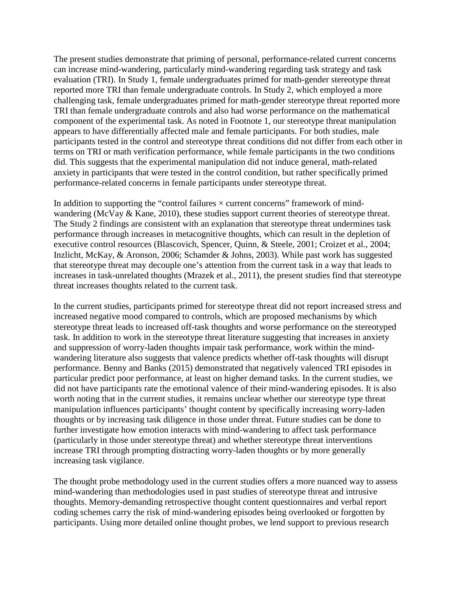The present studies demonstrate that priming of personal, performance-related current concerns can increase mind-wandering, particularly mind-wandering regarding task strategy and task evaluation (TRI). In Study 1, female undergraduates primed for math-gender stereotype threat reported more TRI than female undergraduate controls. In Study 2, which employed a more challenging task, female undergraduates primed for math-gender stereotype threat reported more TRI than female undergraduate controls and also had worse performance on the mathematical component of the experimental task. As noted in Footnote 1, our stereotype threat manipulation appears to have differentially affected male and female participants. For both studies, male participants tested in the control and stereotype threat conditions did not differ from each other in terms on TRI or math verification performance, while female participants in the two conditions did. This suggests that the experimental manipulation did not induce general, math-related anxiety in participants that were tested in the control condition, but rather specifically primed performance-related concerns in female participants under stereotype threat.

In addition to supporting the "control failures  $\times$  current concerns" framework of mindwandering (McVay & Kane, 2010), these studies support current theories of stereotype threat. The Study 2 findings are consistent with an explanation that stereotype threat undermines task performance through increases in metacognitive thoughts, which can result in the depletion of executive control resources (Blascovich, Spencer, Quinn, & Steele, 2001; Croizet et al., 2004; Inzlicht, McKay, & Aronson, 2006; Schamder & Johns, 2003). While past work has suggested that stereotype threat may decouple one's attention from the current task in a way that leads to increases in task-unrelated thoughts (Mrazek et al., 2011), the present studies find that stereotype threat increases thoughts related to the current task.

In the current studies, participants primed for stereotype threat did not report increased stress and increased negative mood compared to controls, which are proposed mechanisms by which stereotype threat leads to increased off-task thoughts and worse performance on the stereotyped task. In addition to work in the stereotype threat literature suggesting that increases in anxiety and suppression of worry-laden thoughts impair task performance, work within the mindwandering literature also suggests that valence predicts whether off-task thoughts will disrupt performance. Benny and Banks (2015) demonstrated that negatively valenced TRI episodes in particular predict poor performance, at least on higher demand tasks. In the current studies, we did not have participants rate the emotional valence of their mind-wandering episodes. It is also worth noting that in the current studies, it remains unclear whether our stereotype type threat manipulation influences participants' thought content by specifically increasing worry-laden thoughts or by increasing task diligence in those under threat. Future studies can be done to further investigate how emotion interacts with mind-wandering to affect task performance (particularly in those under stereotype threat) and whether stereotype threat interventions increase TRI through prompting distracting worry-laden thoughts or by more generally increasing task vigilance.

The thought probe methodology used in the current studies offers a more nuanced way to assess mind-wandering than methodologies used in past studies of stereotype threat and intrusive thoughts. Memory-demanding retrospective thought content questionnaires and verbal report coding schemes carry the risk of mind-wandering episodes being overlooked or forgotten by participants. Using more detailed online thought probes, we lend support to previous research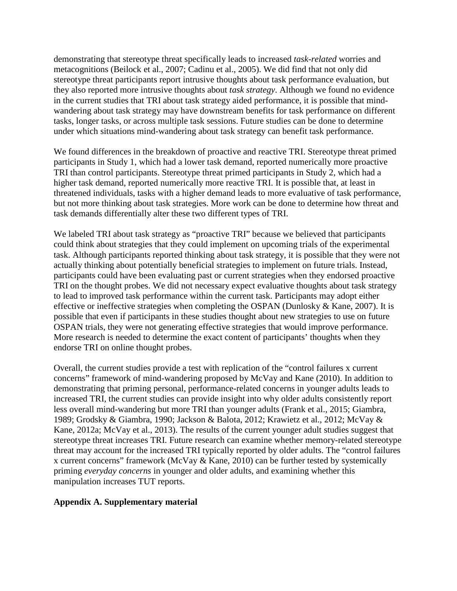demonstrating that stereotype threat specifically leads to increased *task-related* worries and metacognitions (Beilock et al., 2007; Cadinu et al., 2005). We did find that not only did stereotype threat participants report intrusive thoughts about task performance evaluation, but they also reported more intrusive thoughts about *task strategy*. Although we found no evidence in the current studies that TRI about task strategy aided performance, it is possible that mindwandering about task strategy may have downstream benefits for task performance on different tasks, longer tasks, or across multiple task sessions. Future studies can be done to determine under which situations mind-wandering about task strategy can benefit task performance.

We found differences in the breakdown of proactive and reactive TRI. Stereotype threat primed participants in Study 1, which had a lower task demand, reported numerically more proactive TRI than control participants. Stereotype threat primed participants in Study 2, which had a higher task demand, reported numerically more reactive TRI. It is possible that, at least in threatened individuals, tasks with a higher demand leads to more evaluative of task performance, but not more thinking about task strategies. More work can be done to determine how threat and task demands differentially alter these two different types of TRI.

We labeled TRI about task strategy as "proactive TRI" because we believed that participants could think about strategies that they could implement on upcoming trials of the experimental task. Although participants reported thinking about task strategy, it is possible that they were not actually thinking about potentially beneficial strategies to implement on future trials. Instead, participants could have been evaluating past or current strategies when they endorsed proactive TRI on the thought probes. We did not necessary expect evaluative thoughts about task strategy to lead to improved task performance within the current task. Participants may adopt either effective or ineffective strategies when completing the OSPAN (Dunlosky & Kane, 2007). It is possible that even if participants in these studies thought about new strategies to use on future OSPAN trials, they were not generating effective strategies that would improve performance. More research is needed to determine the exact content of participants' thoughts when they endorse TRI on online thought probes.

Overall, the current studies provide a test with replication of the "control failures x current concerns" framework of mind-wandering proposed by McVay and Kane (2010). In addition to demonstrating that priming personal, performance-related concerns in younger adults leads to increased TRI, the current studies can provide insight into why older adults consistently report less overall mind-wandering but more TRI than younger adults (Frank et al., 2015; Giambra, 1989; Grodsky & Giambra, 1990; Jackson & Balota, 2012; Krawietz et al., 2012; McVay & Kane, 2012a; McVay et al., 2013). The results of the current younger adult studies suggest that stereotype threat increases TRI. Future research can examine whether memory-related stereotype threat may account for the increased TRI typically reported by older adults. The "control failures x current concerns" framework (McVay & Kane, 2010) can be further tested by systemically priming *everyday concerns* in younger and older adults, and examining whether this manipulation increases TUT reports.

#### **Appendix A. Supplementary material**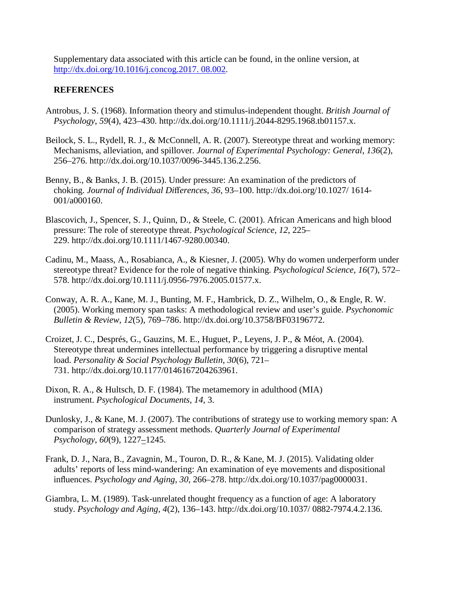Supplementary data associated with this article can be found, in the online version, at [http://dx.doi.org/10.1016/j.concog.2017. 08.002.](http://dx.doi.org/10.1016/j.concog.2017.%2008.002)

## **REFERENCES**

- Antrobus, J. S. (1968). Information theory and stimulus-independent thought. *British Journal of Psychology*, *59*(4), 423–430. http://dx.doi.org/10.1111/j.2044-8295.1968.tb01157.x.
- Beilock, S. L., Rydell, R. J., & McConnell, A. R. (2007). Stereotype threat and working memory: Mechanisms, alleviation, and spillover. *Journal of Experimental Psychology: General*, *136*(2), 256–276. http://dx.doi.org/10.1037/0096-3445.136.2.256.
- Benny, B., & Banks, J. B. (2015). Under pressure: An examination of the predictors of choking. *Journal of Individual Di*ff*erences*, *36*, 93–100. http://dx.doi.org/10.1027/ 1614- 001/a000160.
- Blascovich, J., Spencer, S. J., Quinn, D., & Steele, C. (2001). African Americans and high blood pressure: The role of stereotype threat. *Psychological Science*, *12*, 225– 229. http://dx.doi.org/10.1111/1467-9280.00340.
- Cadinu, M., Maass, A., Rosabianca, A., & Kiesner, J. (2005). Why do women underperform under stereotype threat? Evidence for the role of negative thinking. *Psychological Science*, *16*(7), 572– 578. http://dx.doi.org/10.1111/j.0956-7976.2005.01577.x.
- Conway, A. R. A., Kane, M. J., Bunting, M. F., Hambrick, D. Z., Wilhelm, O., & Engle, R. W. (2005). Working memory span tasks: A methodological review and user's guide. *Psychonomic Bulletin & Review*, *12*(5), 769–786. http://dx.doi.org/10.3758/BF03196772.
- Croizet, J. C., Després, G., Gauzins, M. E., Huguet, P., Leyens, J. P., & Méot, A. (2004). Stereotype threat undermines intellectual performance by triggering a disruptive mental load. *Personality & Social Psychology Bulletin*, *30*(6), 721– 731. http://dx.doi.org/10.1177/0146167204263961.
- Dixon, R. A., & Hultsch, D. F. (1984). The metamemory in adulthood (MIA) instrument. *Psychological Documents*, *14*, 3.
- Dunlosky, J., & Kane, M. J. (2007). The contributions of strategy use to working memory span: A comparison of strategy assessment methods. *Quarterly Journal of Experimental Psychology*, *60*(9), 122[7–1](http://refhub.elsevier.com/S1053-8100(17)30182-4/h0045)245.
- Frank, D. J., Nara, B., Zavagnin, M., Touron, D. R., & Kane, M. J. (2015). Validating older adults' reports of less mind-wandering: An examination of eye movements and dispositional influences. *Psychology and Aging*, *30*, 266–278. http://dx.doi.org/10.1037/pag0000031.
- Giambra, L. M. (1989). Task-unrelated thought frequency as a function of age: A laboratory study. *Psychology and Aging*, *4*(2), 136–143. http://dx.doi.org/10.1037/ 0882-7974.4.2.136.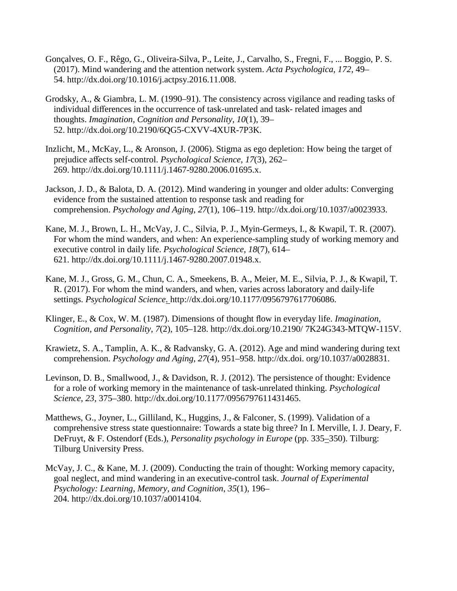- Gonçalves, O. F., Rêgo, G., Oliveira-Silva, P., Leite, J., Carvalho, S., Fregni, F., ... Boggio, P. S. (2017). Mind wandering and the attention network system. *Acta Psychologica*, *172*, 49– 54. http://dx.doi.org/10.1016/j.actpsy.2016.11.008.
- Grodsky, A., & Giambra, L. M. (1990–91). The consistency across vigilance and reading tasks of individual differences in the occurrence of task-unrelated and task- related images and thoughts. *Imagination, Cognition and Personality*, *10*(1), 39– 52. http://dx.doi.org/10.2190/6QG5-CXVV-4XUR-7P3K.
- Inzlicht, M., McKay, L., & Aronson, J. (2006). Stigma as ego depletion: How being the target of prejudice affects self-control. *Psychological Science*, *17*(3), 262– 269. http://dx.doi.org/10.1111/j.1467-9280.2006.01695.x.
- Jackson, J. D., & Balota, D. A. (2012). Mind wandering in younger and older adults: Converging evidence from the sustained attention to response task and reading for comprehension. *Psychology and Aging*, *27*(1), 106–119. http://dx.doi.org/10.1037/a0023933.
- Kane, M. J., Brown, L. H., McVay, J. C., Silvia, P. J., Myin-Germeys, I., & Kwapil, T. R. (2007). For whom the mind wanders, and when: An experience-sampling study of working memory and executive control in daily life. *Psychological Science*, *18*(7), 614– 621. http://dx.doi.org/10.1111/j.1467-9280.2007.01948.x.
- Kane, M. J., Gross, G. M., Chun, C. A., Smeekens, B. A., Meier, M. E., Silvia, P. J., & Kwapil, T. R. (2017). For whom the mind wanders, and when, varies across laboratory and daily-life settings. *Psychological Science*[.](http://dx.doi.org/10.1177/0956797617706086) http://dx.doi.org/10.1177/0956797617706086.
- Klinger, E., & Cox, W. M. (1987). Dimensions of thought flow in everyday life. *Imagination, Cognition, and Personality*, *7*(2), 105–128. http://dx.doi.org/10.2190/ 7K24G343-MTQW-115V.
- Krawietz, S. A., Tamplin, A. K., & Radvansky, G. A. (2012). Age and mind wandering during text comprehension. *Psychology and Aging*, *27*(4), 951–958. http://dx.doi. org/10.1037/a0028831.
- Levinson, D. B., Smallwood, J., & Davidson, R. J. (2012). The persistence of thought: Evidence for a role of working memory in the maintenance of task-unrelated thinking. *Psychological Science*, *23*, 375–380. http://dx.doi.org/10.1177/0956797611431465.
- Matthews, G., Joyner, L., Gilliland, K., Huggins, J., & Falconer, S. (1999). Validation of a comprehensive stress state questionnaire: Towards a state big three? In I. Merville, I. J. Deary, F. DeFruyt, & F. Ostendorf (Eds.), *Personality psychology in Europe* (pp. 33[5–3](http://refhub.elsevier.com/S1053-8100(17)30182-4/h0115)50). Tilburg: Tilburg University Press.
- McVay, J. C., & Kane, M. J. (2009). Conducting the train of thought: Working memory capacity, goal neglect, and mind wandering in an executive-control task. *Journal of Experimental Psychology: Learning, Memory, and Cognition*, *35*(1), 196– 204. http://dx.doi.org/10.1037/a0014104.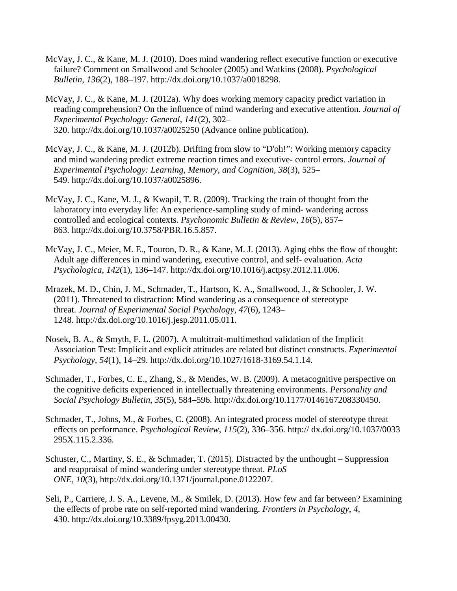- McVay, J. C., & Kane, M. J. (2010). Does mind wandering reflect executive function or executive failure? Comment on Smallwood and Schooler (2005) and Watkins (2008). *Psychological Bulletin*, *136*(2), 188–197. http://dx.doi.org/10.1037/a0018298.
- McVay, J. C., & Kane, M. J. (2012a). Why does working memory capacity predict variation in reading comprehension? On the influence of mind wandering and executive attention. *Journal of Experimental Psychology: General*, *141*(2), 302– 320. http://dx.doi.org/10.1037/a0025250 (Advance online publication).
- McVay, J. C., & Kane, M. J. (2012b). Drifting from slow to "D'oh!": Working memory capacity and mind wandering predict extreme reaction times and executive- control errors. *Journal of Experimental Psychology: Learning, Memory, and Cognition*, *38*(3), 525– 549. http://dx.doi.org/10.1037/a0025896.
- McVay, J. C., Kane, M. J., & Kwapil, T. R. (2009). Tracking the train of thought from the laboratory into everyday life: An experience-sampling study of mind- wandering across controlled and ecological contexts. *Psychonomic Bulletin & Review*, *16*(5), 857– 863. http://dx.doi.org/10.3758/PBR.16.5.857.
- McVay, J. C., Meier, M. E., Touron, D. R., & Kane, M. J. (2013). Aging ebbs the flow of thought: Adult age differences in mind wandering, executive control, and self- evaluation. *Acta Psychologica*, *142*(1), 136–147. http://dx.doi.org/10.1016/j.actpsy.2012.11.006.
- Mrazek, M. D., Chin, J. M., Schmader, T., Hartson, K. A., Smallwood, J., & Schooler, J. W. (2011). Threatened to distraction: Mind wandering as a consequence of stereotype threat. *Journal of Experimental Social Psychology*, *47*(6), 1243– 1248. http://dx.doi.org/10.1016/j.jesp.2011.05.011.
- Nosek, B. A., & Smyth, F. L. (2007). A multitrait-multimethod validation of the Implicit Association Test: Implicit and explicit attitudes are related but distinct constructs. *Experimental Psychology*, *54*(1), 14–29. http://dx.doi.org/10.1027/1618-3169.54.1.14.
- Schmader, T., Forbes, C. E., Zhang, S., & Mendes, W. B. (2009). A metacognitive perspective on the cognitive deficits experienced in intellectually threatening environments. *Personality and Social Psychology Bulletin*, *35*(5), 584–596. http://dx.doi.org/10.1177/0146167208330450.
- Schmader, T., Johns, M., & Forbes, C. (2008). An integrated process model of stereotype threat effects on performance. *Psychological Review*, *115*(2), 336–356. http:// dx.doi.org/10.1037/0033 295X.115.2.336.
- Schuster, C., Martiny, S. E., & Schmader, T. (2015). Distracted by the unthought Suppression and reappraisal of mind wandering under stereotype threat. *PLoS ONE*, *10*(3), http://dx.doi.org/10.1371/journal.pone.0122207.
- Seli, P., Carriere, J. S. A., Levene, M., & Smilek, D. (2013). How few and far between? Examining the effects of probe rate on self-reported mind wandering. *Frontiers in Psychology*, *4*, 430. http://dx.doi.org/10.3389/fpsyg.2013.00430.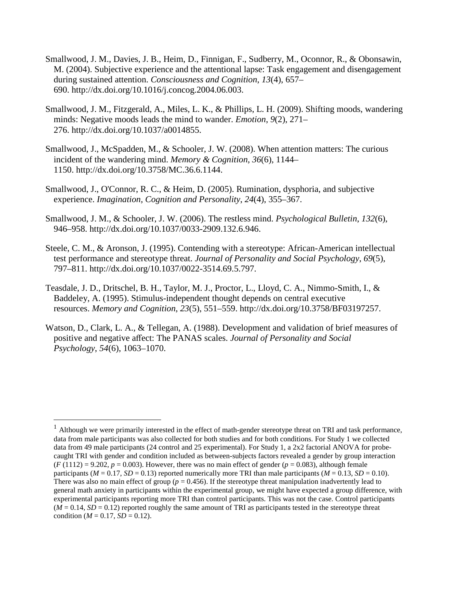- Smallwood, J. M., Davies, J. B., Heim, D., Finnigan, F., Sudberry, M., Oconnor, R., & Obonsawin, M. (2004). Subjective experience and the attentional lapse: Task engagement and disengagement during sustained attention. *Consciousness and Cognition*, *13*(4), 657– 690. http://dx.doi.org/10.1016/j.concog.2004.06.003.
- Smallwood, J. M., Fitzgerald, A., Miles, L. K., & Phillips, L. H. (2009). Shifting moods, wandering minds: Negative moods leads the mind to wander. *Emotion*, *9*(2), 271– 276. http://dx.doi.org/10.1037/a0014855.
- Smallwood, J., McSpadden, M., & Schooler, J. W. (2008). When attention matters: The curious incident of the wandering mind. *Memory & Cognition*, *36*(6), 1144– 1150. http://dx.doi.org/10.3758/MC.36.6.1144.
- Smallwood, J., O'Connor, R. C., & Heim, D. (2005). Rumination, dysphoria, and subjective experience. *Imagination, Cognition and Personality*, *24*(4), 355–367.
- Smallwood, J. M., & Schooler, J. W. (2006). The restless mind. *Psychological Bulletin*, *132*(6), 946–958. http://dx.doi.org/10.1037/0033-2909.132.6.946.
- Steele, C. M., & Aronson, J. (1995). Contending with a stereotype: African-American intellectual test performance and stereotype threat. *Journal of Personality and Social Psychology*, *69*(5), 797–811. http://dx.doi.org/10.1037/0022-3514.69.5.797.
- Teasdale, J. D., Dritschel, B. H., Taylor, M. J., Proctor, L., Lloyd, C. A., Nimmo-Smith, I., & Baddeley, A. (1995). Stimulus-independent thought depends on central executive resources. *Memory and Cognition*, *23*(5), 551–559. http://dx.doi.org/10.3758/BF03197257.

 $\overline{a}$ 

Watson, D., Clark, L. A., & Tellegan, A. (1988). Development and validation of brief measures of positive and negative affect: The PANAS scales. *Journal of Personality and Social Psychology*, *54*(6), 1063–1070.

<span id="page-16-1"></span><span id="page-16-0"></span> $1$  Although we were primarily interested in the effect of math-gender stereotype threat on TRI and task performance, data from male participants was also collected for both studies and for both conditions. For Study 1 we collected data from 49 male participants (24 control and 25 experimental). For Study 1, a 2x2 factorial ANOVA for probecaught TRI with gender and condition included as between-subjects factors revealed a gender by group interaction  $(F(1112) = 9.202, p = 0.003)$ . However, there was no main effect of gender  $(p = 0.083)$ , although female participants ( $M = 0.17$ ,  $SD = 0.13$ ) reported numerically more TRI than male participants ( $M = 0.13$ ,  $SD = 0.10$ ). There was also no main effect of group ( $p = 0.456$ ). If the stereotype threat manipulation inadvertently lead to general math anxiety in participants within the experimental group, we might have expected a group difference, with experimental participants reporting more TRI than control participants. This was not the case. Control participants  $(M = 0.14, SD = 0.12)$  reported roughly the same amount of TRI as participants tested in the stereotype threat condition ( $M = 0.17$ ,  $SD = 0.12$ ).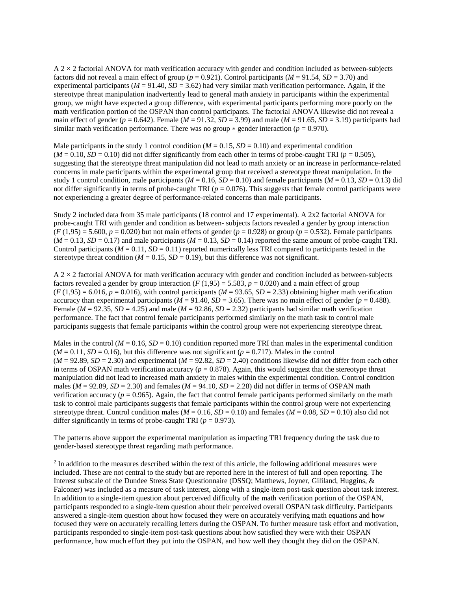$\overline{a}$  $A$  2  $\times$  2 factorial ANOVA for math verification accuracy with gender and condition included as between-subjects factors did not reveal a main effect of group ( $p = 0.921$ ). Control participants ( $M = 91.54$ ,  $SD = 3.70$ ) and experimental participants ( $M = 91.40$ ,  $SD = 3.62$ ) had very similar math verification performance. Again, if the stereotype threat manipulation inadvertently lead to general math anxiety in participants within the experimental group, we might have expected a group difference, with experimental participants performing more poorly on the math verification portion of the OSPAN than control participants. The factorial ANOVA likewise did not reveal a main effect of gender ( $p = 0.642$ ). Female ( $M = 91.32$ ,  $SD = 3.99$ ) and male ( $M = 91.65$ ,  $SD = 3.19$ ) participants had similar math verification performance. There was no group  $*$  gender interaction ( $p = 0.970$ ).

<span id="page-17-0"></span>Male participants in the study 1 control condition ( $M = 0.15$ ,  $SD = 0.10$ ) and experimental condition  $(M = 0.10, SD = 0.10)$  did not differ significantly from each other in terms of probe-caught TRI ( $p = 0.505$ ), suggesting that the stereotype threat manipulation did not lead to math anxiety or an increase in performance-related concerns in male participants within the experimental group that received a stereotype threat manipulation. In the study 1 control condition, male participants ( $M = 0.16$ ,  $SD = 0.10$ ) and female participants ( $M = 0.13$ ,  $SD = 0.13$ ) did not differ significantly in terms of probe-caught TRI ( $p = 0.076$ ). This suggests that female control participants were not experiencing a greater degree of performance-related concerns than male participants.

<span id="page-17-1"></span>Study 2 included data from 35 male participants (18 control and 17 experimental). A 2x2 factorial ANOVA for probe-caught TRI with gender and condition as between- subjects factors revealed a gender by group interaction  $(F (1,95) = 5.600, p = 0.020)$  but not main effects of gender  $(p = 0.928)$  or group  $(p = 0.532)$ . Female participants  $(M = 0.13, SD = 0.17)$  and male participants  $(M = 0.13, SD = 0.14)$  reported the same amount of probe-caught TRI. Control participants ( $M = 0.11$ ,  $SD = 0.11$ ) reported numerically less TRI compared to participants tested in the stereotype threat condition ( $M = 0.15$ ,  $SD = 0.19$ ), but this difference was not significant.

 $A$  2  $\times$  2 factorial ANOVA for math verification accuracy with gender and condition included as between-subjects factors revealed a gender by group interaction  $(F(1,95) = 5.583, p = 0.020)$  and a main effect of group  $(F(1,95) = 6.016, p = 0.016)$ , with control participants  $(M = 93.65, SD = 2.33)$  obtaining higher math verification accuracy than experimental participants ( $\dot{M} = 91.40$ ,  $SD = 3.65$ ). There was no main effect of gender ( $p = 0.488$ ). Female ( $M = 92.35$ ,  $SD = 4.25$ ) and male ( $M = 92.86$ ,  $SD = 2.32$ ) participants had similar math verification performance. The fact that control female participants performed similarly on the math task to control male participants suggests that female participants within the control group were not experiencing stereotype threat.

Males in the control ( $M = 0.16$ ,  $SD = 0.10$ ) condition reported more TRI than males in the experimental condition  $(M = 0.11, SD = 0.16)$ , but this difference was not significant ( $p = 0.717$ ). Males in the control  $(M = 92.89, SD = 2.30)$  and experimental  $(M = 92.82, SD = 2.40)$  conditions likewise did not differ from each other in terms of OSPAN math verification accuracy ( $p = 0.878$ ). Again, this would suggest that the stereotype threat manipulation did not lead to increased math anxiety in males within the experimental condition. Control condition males ( $M = 92.89$ ,  $SD = 2.30$ ) and females ( $M = 94.10$ ,  $SD = 2.28$ ) did not differ in terms of OSPAN math verification accuracy  $(p = 0.965)$ . Again, the fact that control female participants performed similarly on the math task to control male participants suggests that female participants within the control group were not experiencing stereotype threat. Control condition males ( $M = 0.16$ ,  $SD = 0.10$ ) and females ( $M = 0.08$ ,  $SD = 0.10$ ) also did not differ significantly in terms of probe-caught TRI ( $p = 0.973$ ).

The patterns above support the experimental manipulation as impacting TRI frequency during the task due to gender-based stereotype threat regarding math performance.

<sup>2</sup> In addition to the measures described within the text of this article, the following additional measures were included. These are not central to the study but are reported here in the interest of full and open reporting. The Interest subscale of the Dundee Stress State Questionnaire (DSSQ; Matthews, Joyner, Gililand, Huggins, & Falconer) was included as a measure of task interest, along with a single-item post-task question about task interest. In addition to a single-item question about perceived difficulty of the math verification portion of the OSPAN, participants responded to a single-item question about their perceived overall OSPAN task difficulty. Participants answered a single-item question about how focused they were on accurately verifying math equations and how focused they were on accurately recalling letters during the OSPAN. To further measure task effort and motivation, participants responded to single-item post-task questions about how satisfied they were with their OSPAN performance, how much effort they put into the OSPAN, and how well they thought they did on the OSPAN.